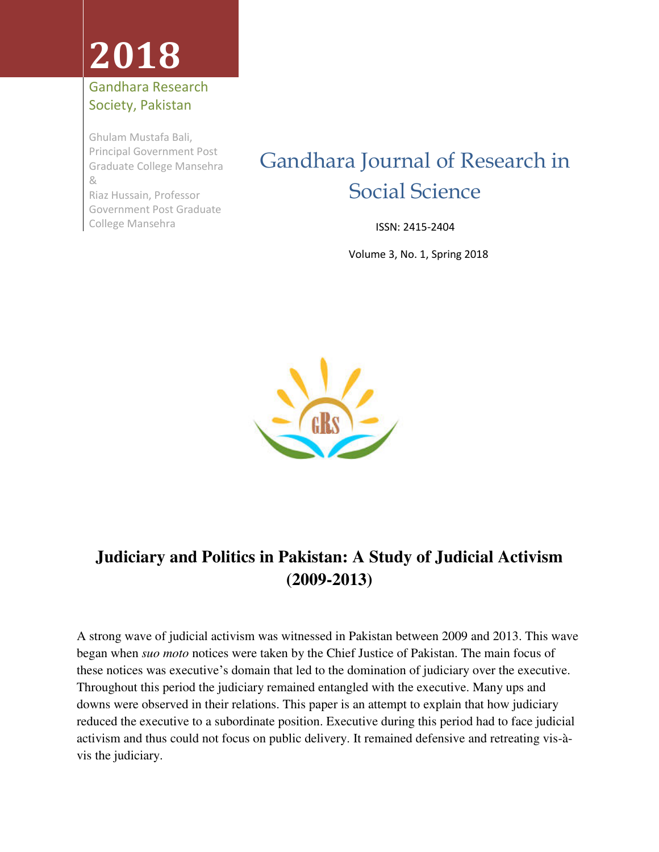# **2018**

#### Gandhara Research Society, Pakistan

Ghulam Mustafa Bali, Principal Government Post Graduate College Mansehra & Riaz Hussain, Professor Government Post Graduate College Mansehra

### Gandhara Journal of Research in Social Science

ISSN: 2415-2404

Volume 3, No. 1, Spring 2018



### **Judiciary and Politics in Pakistan: A Study of Judicial Activism (2009-2013)**

A strong wave of judicial activism was witnessed in Pakistan between 2009 and 2013. This wave began when *suo moto* notices were taken by the Chief Justice of Pakistan. The main focus of these notices was executive's domain that led to the domination of judiciary over the executive. Throughout this period the judiciary remained entangled with the executive. Many ups and downs were observed in their relations. This paper is an attempt to explain that how judiciary reduced the executive to a subordinate position. Executive during this period had to face judicial activism and thus could not focus on public delivery. It remained defensive and retreating vis-àvis the judiciary.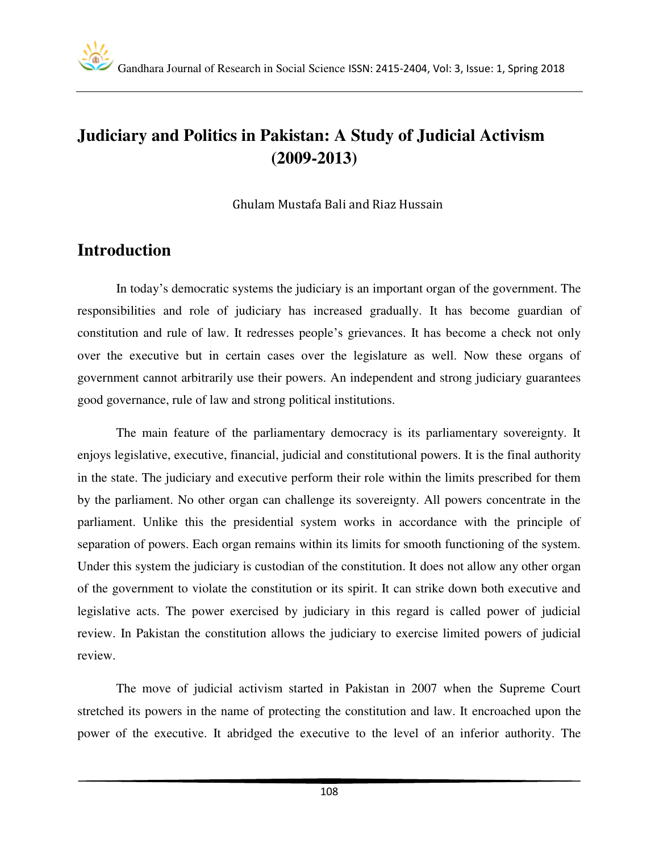#### **Judiciary and Politics in Pakistan: A Study of Judicial Activism (2009-2013)**

Ghulam Mustafa Bali and Riaz Hussain

#### **Introduction**

In today's democratic systems the judiciary is an important organ of the government. The responsibilities and role of judiciary has increased gradually. It has become guardian of constitution and rule of law. It redresses people's grievances. It has become a check not only over the executive but in certain cases over the legislature as well. Now these organs of government cannot arbitrarily use their powers. An independent and strong judiciary guarantees good governance, rule of law and strong political institutions.

 The main feature of the parliamentary democracy is its parliamentary sovereignty. It enjoys legislative, executive, financial, judicial and constitutional powers. It is the final authority in the state. The judiciary and executive perform their role within the limits prescribed for them by the parliament. No other organ can challenge its sovereignty. All powers concentrate in the parliament. Unlike this the presidential system works in accordance with the principle of separation of powers. Each organ remains within its limits for smooth functioning of the system. Under this system the judiciary is custodian of the constitution. It does not allow any other organ of the government to violate the constitution or its spirit. It can strike down both executive and legislative acts. The power exercised by judiciary in this regard is called power of judicial review. In Pakistan the constitution allows the judiciary to exercise limited powers of judicial review.

 The move of judicial activism started in Pakistan in 2007 when the Supreme Court stretched its powers in the name of protecting the constitution and law. It encroached upon the power of the executive. It abridged the executive to the level of an inferior authority. The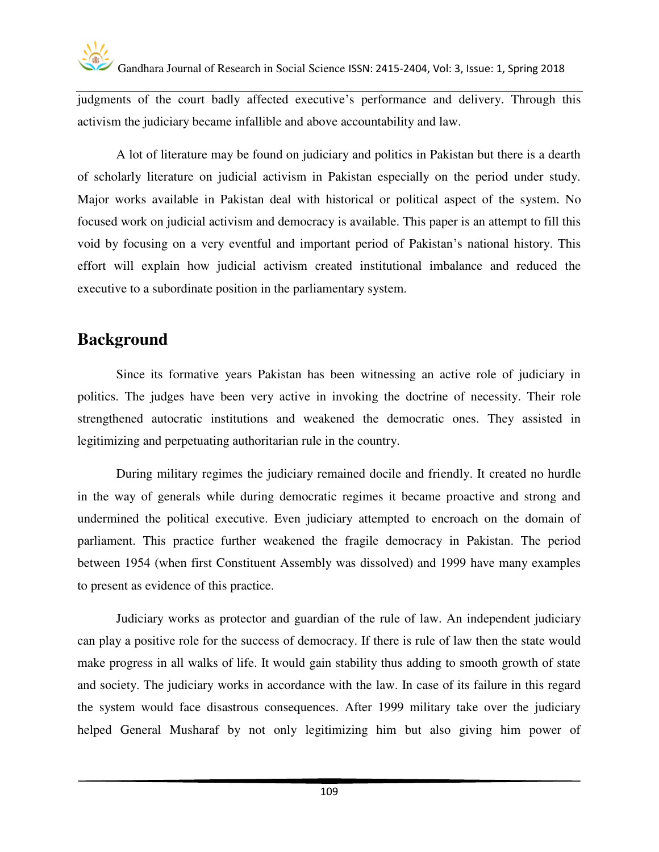

judgments of the court badly affected executive's performance and delivery. Through this activism the judiciary became infallible and above accountability and law.

 A lot of literature may be found on judiciary and politics in Pakistan but there is a dearth of scholarly literature on judicial activism in Pakistan especially on the period under study. Major works available in Pakistan deal with historical or political aspect of the system. No focused work on judicial activism and democracy is available. This paper is an attempt to fill this void by focusing on a very eventful and important period of Pakistan's national history. This effort will explain how judicial activism created institutional imbalance and reduced the executive to a subordinate position in the parliamentary system.

#### **Background**

 Since its formative years Pakistan has been witnessing an active role of judiciary in politics. The judges have been very active in invoking the doctrine of necessity. Their role strengthened autocratic institutions and weakened the democratic ones. They assisted in legitimizing and perpetuating authoritarian rule in the country.

 During military regimes the judiciary remained docile and friendly. It created no hurdle in the way of generals while during democratic regimes it became proactive and strong and undermined the political executive. Even judiciary attempted to encroach on the domain of parliament. This practice further weakened the fragile democracy in Pakistan. The period between 1954 (when first Constituent Assembly was dissolved) and 1999 have many examples to present as evidence of this practice.

 Judiciary works as protector and guardian of the rule of law. An independent judiciary can play a positive role for the success of democracy. If there is rule of law then the state would make progress in all walks of life. It would gain stability thus adding to smooth growth of state and society. The judiciary works in accordance with the law. In case of its failure in this regard the system would face disastrous consequences. After 1999 military take over the judiciary helped General Musharaf by not only legitimizing him but also giving him power of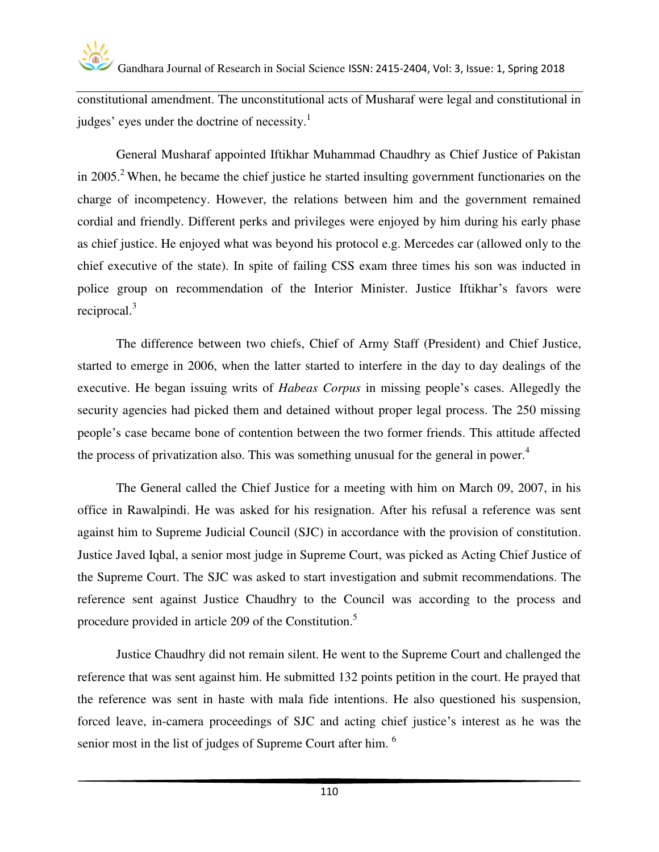

constitutional amendment. The unconstitutional acts of Musharaf were legal and constitutional in judges' eyes under the doctrine of necessity.<sup>1</sup>

General Musharaf appointed Iftikhar Muhammad Chaudhry as Chief Justice of Pakistan in 2005.<sup>2</sup> When, he became the chief justice he started insulting government functionaries on the charge of incompetency. However, the relations between him and the government remained cordial and friendly. Different perks and privileges were enjoyed by him during his early phase as chief justice. He enjoyed what was beyond his protocol e.g. Mercedes car (allowed only to the chief executive of the state). In spite of failing CSS exam three times his son was inducted in police group on recommendation of the Interior Minister. Justice Iftikhar's favors were reciprocal. $3$ 

 The difference between two chiefs, Chief of Army Staff (President) and Chief Justice, started to emerge in 2006, when the latter started to interfere in the day to day dealings of the executive. He began issuing writs of *Habeas Corpus* in missing people's cases. Allegedly the security agencies had picked them and detained without proper legal process. The 250 missing people's case became bone of contention between the two former friends. This attitude affected the process of privatization also. This was something unusual for the general in power.<sup>4</sup>

 The General called the Chief Justice for a meeting with him on March 09, 2007, in his office in Rawalpindi. He was asked for his resignation. After his refusal a reference was sent against him to Supreme Judicial Council (SJC) in accordance with the provision of constitution. Justice Javed Iqbal, a senior most judge in Supreme Court, was picked as Acting Chief Justice of the Supreme Court. The SJC was asked to start investigation and submit recommendations. The reference sent against Justice Chaudhry to the Council was according to the process and procedure provided in article 209 of the Constitution.<sup>5</sup>

 Justice Chaudhry did not remain silent. He went to the Supreme Court and challenged the reference that was sent against him. He submitted 132 points petition in the court. He prayed that the reference was sent in haste with mala fide intentions. He also questioned his suspension, forced leave, in-camera proceedings of SJC and acting chief justice's interest as he was the senior most in the list of judges of Supreme Court after him. <sup>6</sup>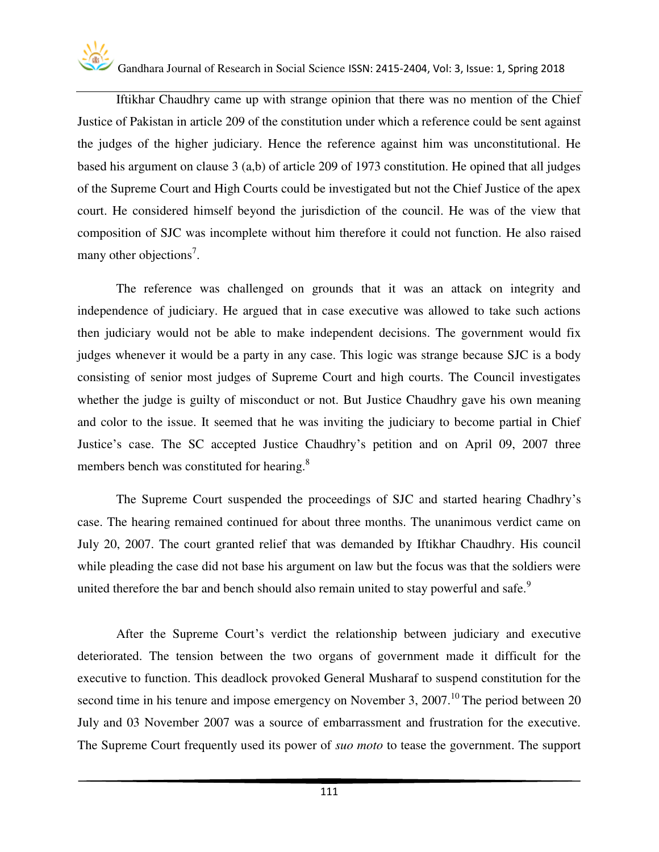Iftikhar Chaudhry came up with strange opinion that there was no mention of the Chief Justice of Pakistan in article 209 of the constitution under which a reference could be sent against the judges of the higher judiciary. Hence the reference against him was unconstitutional. He based his argument on clause 3 (a,b) of article 209 of 1973 constitution. He opined that all judges of the Supreme Court and High Courts could be investigated but not the Chief Justice of the apex court. He considered himself beyond the jurisdiction of the council. He was of the view that composition of SJC was incomplete without him therefore it could not function. He also raised many other objections<sup>7</sup>.

 The reference was challenged on grounds that it was an attack on integrity and independence of judiciary. He argued that in case executive was allowed to take such actions then judiciary would not be able to make independent decisions. The government would fix judges whenever it would be a party in any case. This logic was strange because SJC is a body consisting of senior most judges of Supreme Court and high courts. The Council investigates whether the judge is guilty of misconduct or not. But Justice Chaudhry gave his own meaning and color to the issue. It seemed that he was inviting the judiciary to become partial in Chief Justice's case. The SC accepted Justice Chaudhry's petition and on April 09, 2007 three members bench was constituted for hearing.<sup>8</sup>

 The Supreme Court suspended the proceedings of SJC and started hearing Chadhry's case. The hearing remained continued for about three months. The unanimous verdict came on July 20, 2007. The court granted relief that was demanded by Iftikhar Chaudhry. His council while pleading the case did not base his argument on law but the focus was that the soldiers were united therefore the bar and bench should also remain united to stay powerful and safe.<sup>9</sup>

 After the Supreme Court's verdict the relationship between judiciary and executive deteriorated. The tension between the two organs of government made it difficult for the executive to function. This deadlock provoked General Musharaf to suspend constitution for the second time in his tenure and impose emergency on November 3, 2007.<sup>10</sup> The period between 20 July and 03 November 2007 was a source of embarrassment and frustration for the executive. The Supreme Court frequently used its power of *suo moto* to tease the government. The support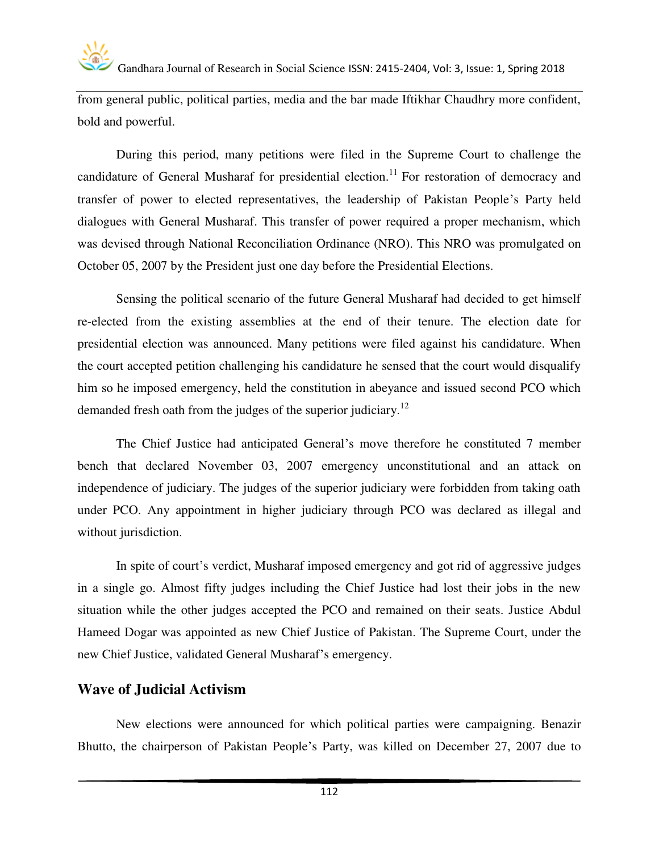from general public, political parties, media and the bar made Iftikhar Chaudhry more confident, bold and powerful.

 During this period, many petitions were filed in the Supreme Court to challenge the candidature of General Musharaf for presidential election.<sup>11</sup> For restoration of democracy and transfer of power to elected representatives, the leadership of Pakistan People's Party held dialogues with General Musharaf. This transfer of power required a proper mechanism, which was devised through National Reconciliation Ordinance (NRO). This NRO was promulgated on October 05, 2007 by the President just one day before the Presidential Elections.

 Sensing the political scenario of the future General Musharaf had decided to get himself re-elected from the existing assemblies at the end of their tenure. The election date for presidential election was announced. Many petitions were filed against his candidature. When the court accepted petition challenging his candidature he sensed that the court would disqualify him so he imposed emergency, held the constitution in abeyance and issued second PCO which demanded fresh oath from the judges of the superior judiciary.<sup>12</sup>

 The Chief Justice had anticipated General's move therefore he constituted 7 member bench that declared November 03, 2007 emergency unconstitutional and an attack on independence of judiciary. The judges of the superior judiciary were forbidden from taking oath under PCO. Any appointment in higher judiciary through PCO was declared as illegal and without jurisdiction.

 In spite of court's verdict, Musharaf imposed emergency and got rid of aggressive judges in a single go. Almost fifty judges including the Chief Justice had lost their jobs in the new situation while the other judges accepted the PCO and remained on their seats. Justice Abdul Hameed Dogar was appointed as new Chief Justice of Pakistan. The Supreme Court, under the new Chief Justice, validated General Musharaf's emergency.

#### **Wave of Judicial Activism**

New elections were announced for which political parties were campaigning. Benazir Bhutto, the chairperson of Pakistan People's Party, was killed on December 27, 2007 due to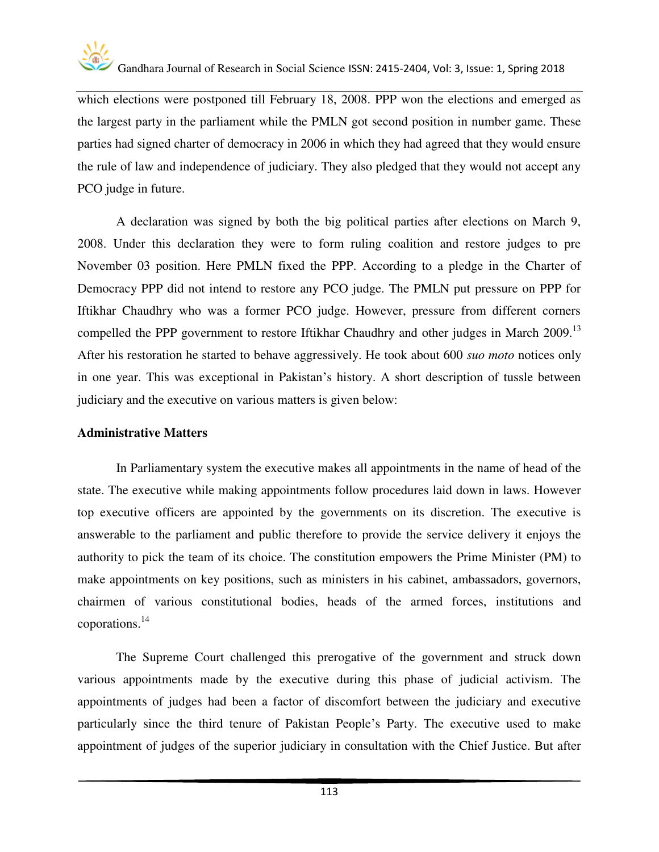

which elections were postponed till February 18, 2008. PPP won the elections and emerged as the largest party in the parliament while the PMLN got second position in number game. These parties had signed charter of democracy in 2006 in which they had agreed that they would ensure the rule of law and independence of judiciary. They also pledged that they would not accept any PCO judge in future.

 A declaration was signed by both the big political parties after elections on March 9, 2008. Under this declaration they were to form ruling coalition and restore judges to pre November 03 position. Here PMLN fixed the PPP. According to a pledge in the Charter of Democracy PPP did not intend to restore any PCO judge. The PMLN put pressure on PPP for Iftikhar Chaudhry who was a former PCO judge. However, pressure from different corners compelled the PPP government to restore Iftikhar Chaudhry and other judges in March 2009.<sup>13</sup> After his restoration he started to behave aggressively. He took about 600 *suo moto* notices only in one year. This was exceptional in Pakistan's history. A short description of tussle between judiciary and the executive on various matters is given below:

#### **Administrative Matters**

In Parliamentary system the executive makes all appointments in the name of head of the state. The executive while making appointments follow procedures laid down in laws. However top executive officers are appointed by the governments on its discretion. The executive is answerable to the parliament and public therefore to provide the service delivery it enjoys the authority to pick the team of its choice. The constitution empowers the Prime Minister (PM) to make appointments on key positions, such as ministers in his cabinet, ambassadors, governors, chairmen of various constitutional bodies, heads of the armed forces, institutions and coporations.<sup>14</sup>

The Supreme Court challenged this prerogative of the government and struck down various appointments made by the executive during this phase of judicial activism. The appointments of judges had been a factor of discomfort between the judiciary and executive particularly since the third tenure of Pakistan People's Party. The executive used to make appointment of judges of the superior judiciary in consultation with the Chief Justice. But after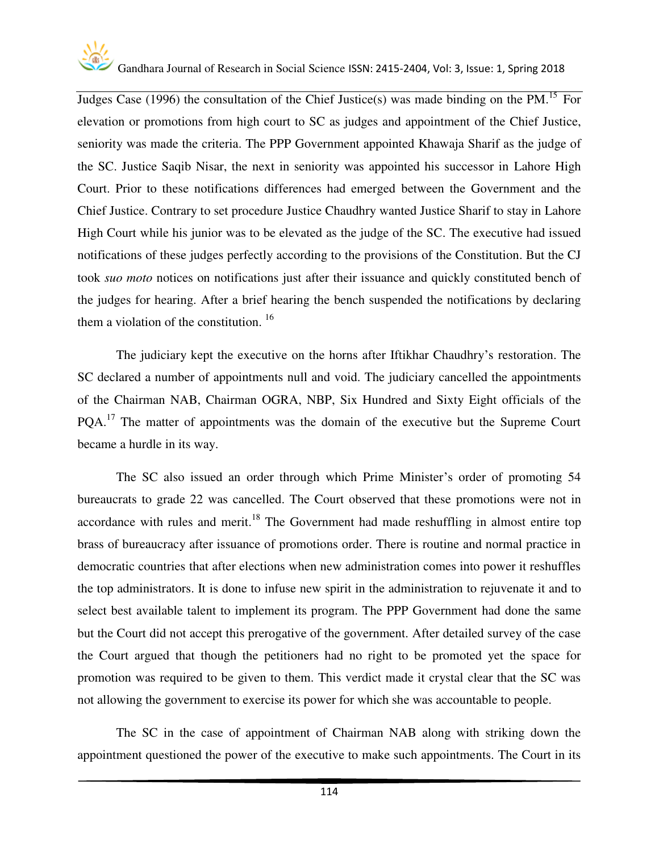

Judges Case (1996) the consultation of the Chief Justice(s) was made binding on the PM.<sup>15</sup> For elevation or promotions from high court to SC as judges and appointment of the Chief Justice, seniority was made the criteria. The PPP Government appointed Khawaja Sharif as the judge of the SC. Justice Saqib Nisar, the next in seniority was appointed his successor in Lahore High Court. Prior to these notifications differences had emerged between the Government and the Chief Justice. Contrary to set procedure Justice Chaudhry wanted Justice Sharif to stay in Lahore High Court while his junior was to be elevated as the judge of the SC. The executive had issued notifications of these judges perfectly according to the provisions of the Constitution. But the CJ took *suo moto* notices on notifications just after their issuance and quickly constituted bench of the judges for hearing. After a brief hearing the bench suspended the notifications by declaring them a violation of the constitution.  $16$ 

The judiciary kept the executive on the horns after Iftikhar Chaudhry's restoration. The SC declared a number of appointments null and void. The judiciary cancelled the appointments of the Chairman NAB, Chairman OGRA, NBP, Six Hundred and Sixty Eight officials of the PQA.<sup>17</sup> The matter of appointments was the domain of the executive but the Supreme Court became a hurdle in its way.

The SC also issued an order through which Prime Minister's order of promoting 54 bureaucrats to grade 22 was cancelled. The Court observed that these promotions were not in accordance with rules and merit.<sup>18</sup> The Government had made reshuffling in almost entire top brass of bureaucracy after issuance of promotions order. There is routine and normal practice in democratic countries that after elections when new administration comes into power it reshuffles the top administrators. It is done to infuse new spirit in the administration to rejuvenate it and to select best available talent to implement its program. The PPP Government had done the same but the Court did not accept this prerogative of the government. After detailed survey of the case the Court argued that though the petitioners had no right to be promoted yet the space for promotion was required to be given to them. This verdict made it crystal clear that the SC was not allowing the government to exercise its power for which she was accountable to people.

The SC in the case of appointment of Chairman NAB along with striking down the appointment questioned the power of the executive to make such appointments. The Court in its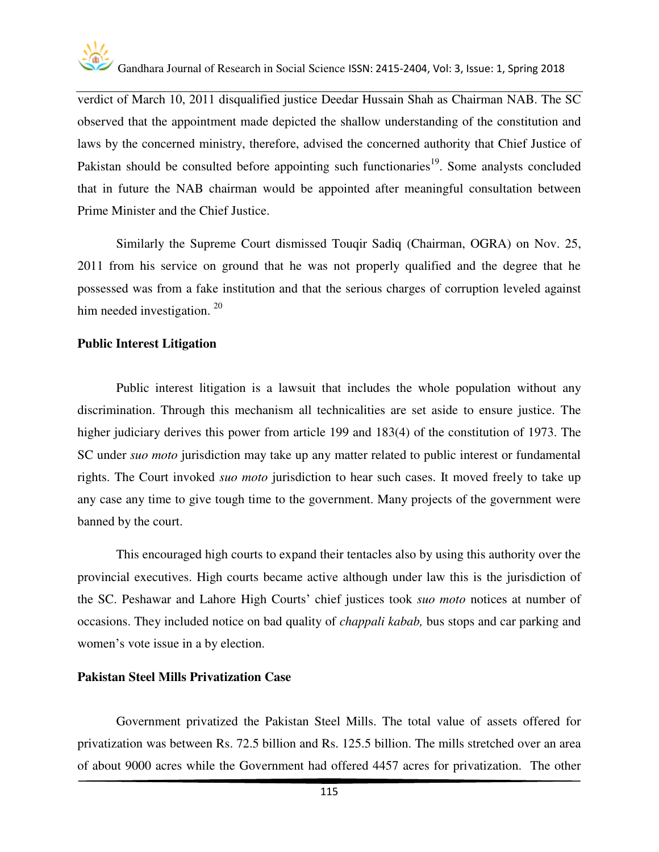

verdict of March 10, 2011 disqualified justice Deedar Hussain Shah as Chairman NAB. The SC observed that the appointment made depicted the shallow understanding of the constitution and laws by the concerned ministry, therefore, advised the concerned authority that Chief Justice of Pakistan should be consulted before appointing such functionaries<sup>19</sup>. Some analysts concluded that in future the NAB chairman would be appointed after meaningful consultation between Prime Minister and the Chief Justice.

Similarly the Supreme Court dismissed Touqir Sadiq (Chairman, OGRA) on Nov. 25, 2011 from his service on ground that he was not properly qualified and the degree that he possessed was from a fake institution and that the serious charges of corruption leveled against him needed investigation.<sup>20</sup>

#### **Public Interest Litigation**

Public interest litigation is a lawsuit that includes the whole population without any discrimination. Through this mechanism all technicalities are set aside to ensure justice. The higher judiciary derives this power from article 199 and 183(4) of the constitution of 1973. The SC under *suo moto* jurisdiction may take up any matter related to public interest or fundamental rights. The Court invoked *suo moto* jurisdiction to hear such cases. It moved freely to take up any case any time to give tough time to the government. Many projects of the government were banned by the court.

This encouraged high courts to expand their tentacles also by using this authority over the provincial executives. High courts became active although under law this is the jurisdiction of the SC. Peshawar and Lahore High Courts' chief justices took *suo moto* notices at number of occasions. They included notice on bad quality of *chappali kabab,* bus stops and car parking and women's vote issue in a by election.

#### **Pakistan Steel Mills Privatization Case**

Government privatized the Pakistan Steel Mills. The total value of assets offered for privatization was between Rs. 72.5 billion and Rs. 125.5 billion. The mills stretched over an area of about 9000 acres while the Government had offered 4457 acres for privatization. The other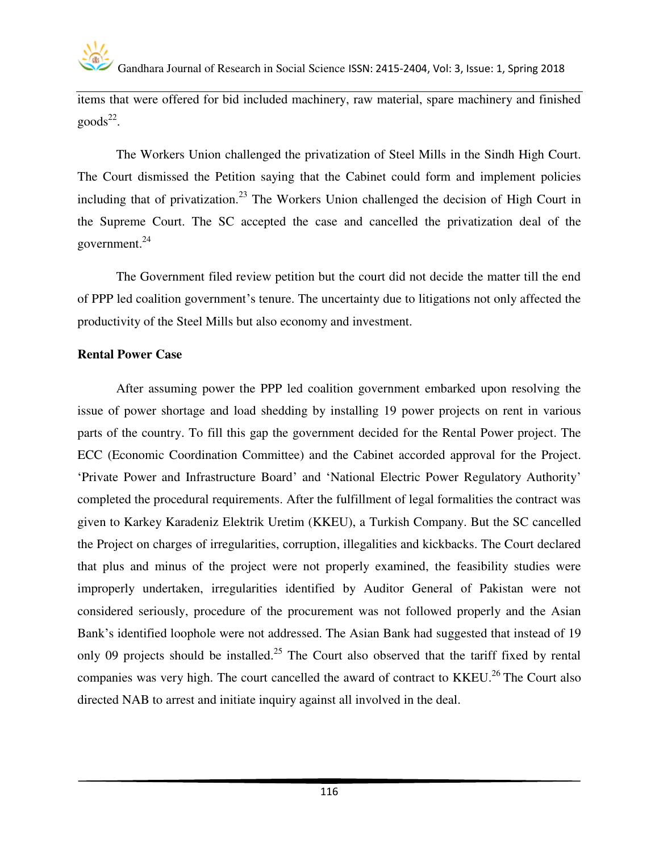items that were offered for bid included machinery, raw material, spare machinery and finished  $\text{goods}^{22}$ .

The Workers Union challenged the privatization of Steel Mills in the Sindh High Court. The Court dismissed the Petition saying that the Cabinet could form and implement policies including that of privatization.<sup>23</sup> The Workers Union challenged the decision of High Court in the Supreme Court. The SC accepted the case and cancelled the privatization deal of the government.<sup>24</sup>

The Government filed review petition but the court did not decide the matter till the end of PPP led coalition government's tenure. The uncertainty due to litigations not only affected the productivity of the Steel Mills but also economy and investment.

#### **Rental Power Case**

After assuming power the PPP led coalition government embarked upon resolving the issue of power shortage and load shedding by installing 19 power projects on rent in various parts of the country. To fill this gap the government decided for the Rental Power project. The ECC (Economic Coordination Committee) and the Cabinet accorded approval for the Project. 'Private Power and Infrastructure Board' and 'National Electric Power Regulatory Authority' completed the procedural requirements. After the fulfillment of legal formalities the contract was given to Karkey Karadeniz Elektrik Uretim (KKEU), a Turkish Company. But the SC cancelled the Project on charges of irregularities, corruption, illegalities and kickbacks. The Court declared that plus and minus of the project were not properly examined, the feasibility studies were improperly undertaken, irregularities identified by Auditor General of Pakistan were not considered seriously, procedure of the procurement was not followed properly and the Asian Bank's identified loophole were not addressed. The Asian Bank had suggested that instead of 19 only 09 projects should be installed.<sup>25</sup> The Court also observed that the tariff fixed by rental companies was very high. The court cancelled the award of contract to KKEU.<sup>26</sup>The Court also directed NAB to arrest and initiate inquiry against all involved in the deal.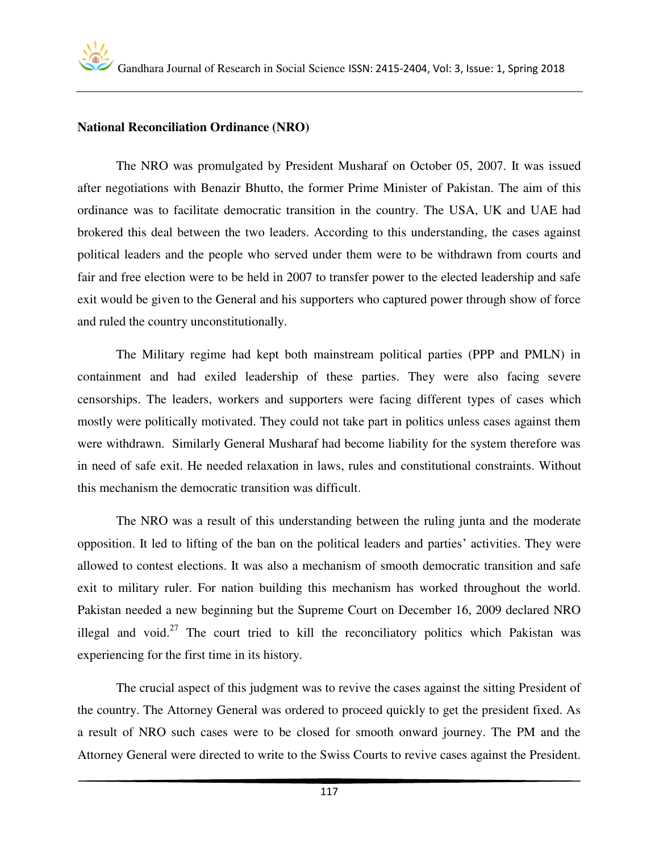#### **National Reconciliation Ordinance (NRO)**

The NRO was promulgated by President Musharaf on October 05, 2007. It was issued after negotiations with Benazir Bhutto, the former Prime Minister of Pakistan. The aim of this ordinance was to facilitate democratic transition in the country. The USA, UK and UAE had brokered this deal between the two leaders. According to this understanding, the cases against political leaders and the people who served under them were to be withdrawn from courts and fair and free election were to be held in 2007 to transfer power to the elected leadership and safe exit would be given to the General and his supporters who captured power through show of force and ruled the country unconstitutionally.

The Military regime had kept both mainstream political parties (PPP and PMLN) in containment and had exiled leadership of these parties. They were also facing severe censorships. The leaders, workers and supporters were facing different types of cases which mostly were politically motivated. They could not take part in politics unless cases against them were withdrawn. Similarly General Musharaf had become liability for the system therefore was in need of safe exit. He needed relaxation in laws, rules and constitutional constraints. Without this mechanism the democratic transition was difficult.

The NRO was a result of this understanding between the ruling junta and the moderate opposition. It led to lifting of the ban on the political leaders and parties' activities. They were allowed to contest elections. It was also a mechanism of smooth democratic transition and safe exit to military ruler. For nation building this mechanism has worked throughout the world. Pakistan needed a new beginning but the Supreme Court on December 16, 2009 declared NRO illegal and void.<sup>27</sup> The court tried to kill the reconciliatory politics which Pakistan was experiencing for the first time in its history.

The crucial aspect of this judgment was to revive the cases against the sitting President of the country. The Attorney General was ordered to proceed quickly to get the president fixed. As a result of NRO such cases were to be closed for smooth onward journey. The PM and the Attorney General were directed to write to the Swiss Courts to revive cases against the President.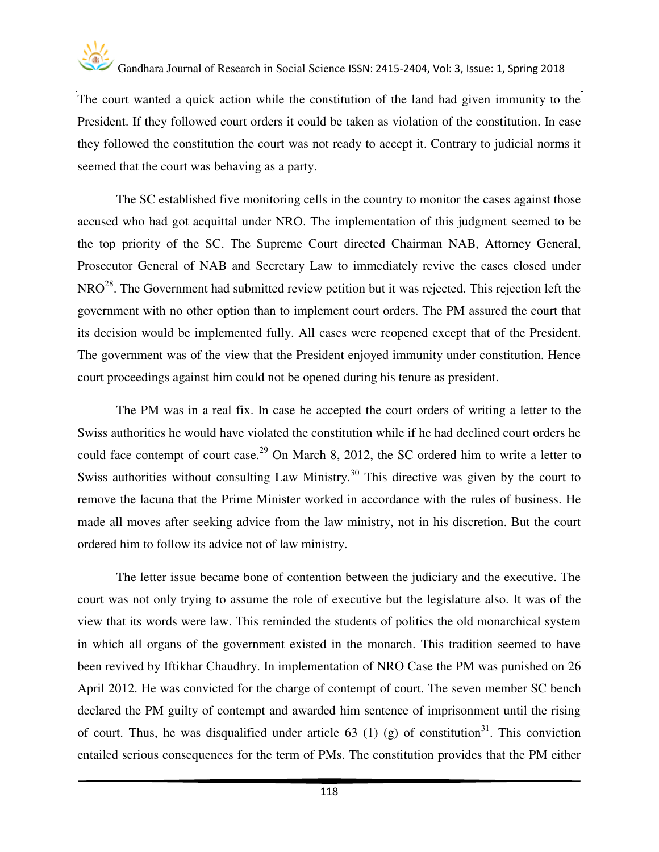

The court wanted a quick action while the constitution of the land had given immunity to the President. If they followed court orders it could be taken as violation of the constitution. In case they followed the constitution the court was not ready to accept it. Contrary to judicial norms it seemed that the court was behaving as a party.

The SC established five monitoring cells in the country to monitor the cases against those accused who had got acquittal under NRO. The implementation of this judgment seemed to be the top priority of the SC. The Supreme Court directed Chairman NAB, Attorney General, Prosecutor General of NAB and Secretary Law to immediately revive the cases closed under  $NRO<sup>28</sup>$ . The Government had submitted review petition but it was rejected. This rejection left the government with no other option than to implement court orders. The PM assured the court that its decision would be implemented fully. All cases were reopened except that of the President. The government was of the view that the President enjoyed immunity under constitution. Hence court proceedings against him could not be opened during his tenure as president.

The PM was in a real fix. In case he accepted the court orders of writing a letter to the Swiss authorities he would have violated the constitution while if he had declined court orders he could face contempt of court case.<sup>29</sup> On March 8, 2012, the SC ordered him to write a letter to Swiss authorities without consulting Law Ministry.<sup>30</sup> This directive was given by the court to remove the lacuna that the Prime Minister worked in accordance with the rules of business. He made all moves after seeking advice from the law ministry, not in his discretion. But the court ordered him to follow its advice not of law ministry.

The letter issue became bone of contention between the judiciary and the executive. The court was not only trying to assume the role of executive but the legislature also. It was of the view that its words were law. This reminded the students of politics the old monarchical system in which all organs of the government existed in the monarch. This tradition seemed to have been revived by Iftikhar Chaudhry. In implementation of NRO Case the PM was punished on 26 April 2012. He was convicted for the charge of contempt of court. The seven member SC bench declared the PM guilty of contempt and awarded him sentence of imprisonment until the rising of court. Thus, he was disqualified under article 63 (1) (g) of constitution<sup>31</sup>. This conviction entailed serious consequences for the term of PMs. The constitution provides that the PM either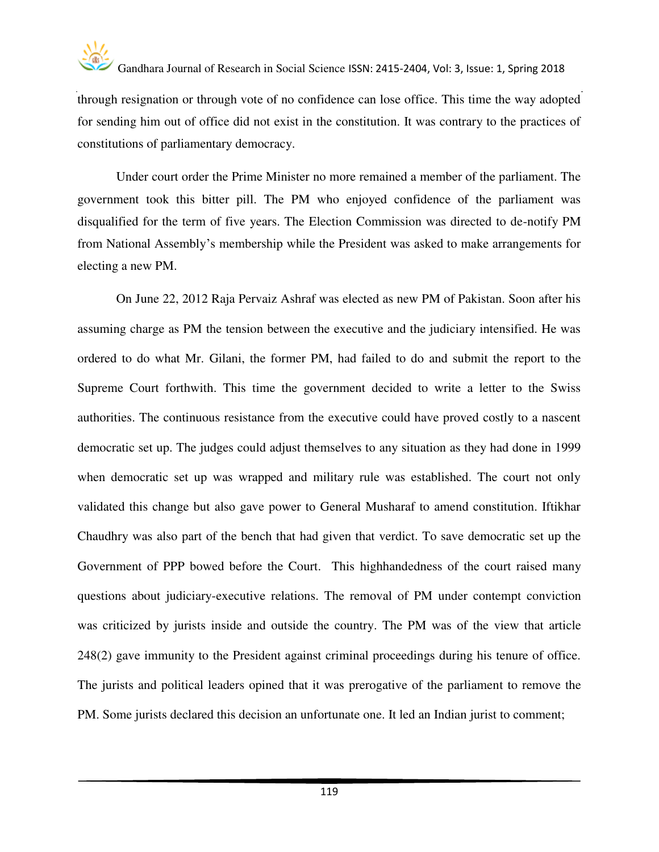

through resignation or through vote of no confidence can lose office. This time the way adopted for sending him out of office did not exist in the constitution. It was contrary to the practices of constitutions of parliamentary democracy.

Under court order the Prime Minister no more remained a member of the parliament. The government took this bitter pill. The PM who enjoyed confidence of the parliament was disqualified for the term of five years. The Election Commission was directed to de-notify PM from National Assembly's membership while the President was asked to make arrangements for electing a new PM.

On June 22, 2012 Raja Pervaiz Ashraf was elected as new PM of Pakistan. Soon after his assuming charge as PM the tension between the executive and the judiciary intensified. He was ordered to do what Mr. Gilani, the former PM, had failed to do and submit the report to the Supreme Court forthwith. This time the government decided to write a letter to the Swiss authorities. The continuous resistance from the executive could have proved costly to a nascent democratic set up. The judges could adjust themselves to any situation as they had done in 1999 when democratic set up was wrapped and military rule was established. The court not only validated this change but also gave power to General Musharaf to amend constitution. Iftikhar Chaudhry was also part of the bench that had given that verdict. To save democratic set up the Government of PPP bowed before the Court. This highhandedness of the court raised many questions about judiciary-executive relations. The removal of PM under contempt conviction was criticized by jurists inside and outside the country. The PM was of the view that article 248(2) gave immunity to the President against criminal proceedings during his tenure of office. The jurists and political leaders opined that it was prerogative of the parliament to remove the PM. Some jurists declared this decision an unfortunate one. It led an Indian jurist to comment;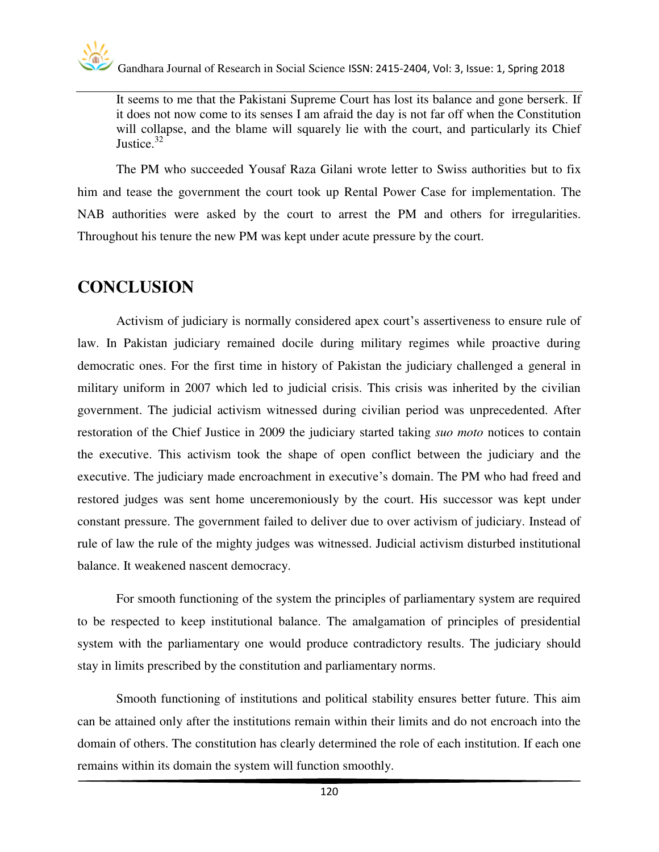It seems to me that the Pakistani Supreme Court has lost its balance and gone berserk. If it does not now come to its senses I am afraid the day is not far off when the Constitution will collapse, and the blame will squarely lie with the court, and particularly its Chief Justice.<sup>32</sup>

The PM who succeeded Yousaf Raza Gilani wrote letter to Swiss authorities but to fix him and tease the government the court took up Rental Power Case for implementation. The NAB authorities were asked by the court to arrest the PM and others for irregularities. Throughout his tenure the new PM was kept under acute pressure by the court.

#### **CONCLUSION**

Activism of judiciary is normally considered apex court's assertiveness to ensure rule of law. In Pakistan judiciary remained docile during military regimes while proactive during democratic ones. For the first time in history of Pakistan the judiciary challenged a general in military uniform in 2007 which led to judicial crisis. This crisis was inherited by the civilian government. The judicial activism witnessed during civilian period was unprecedented. After restoration of the Chief Justice in 2009 the judiciary started taking *suo moto* notices to contain the executive. This activism took the shape of open conflict between the judiciary and the executive. The judiciary made encroachment in executive's domain. The PM who had freed and restored judges was sent home unceremoniously by the court. His successor was kept under constant pressure. The government failed to deliver due to over activism of judiciary. Instead of rule of law the rule of the mighty judges was witnessed. Judicial activism disturbed institutional balance. It weakened nascent democracy.

For smooth functioning of the system the principles of parliamentary system are required to be respected to keep institutional balance. The amalgamation of principles of presidential system with the parliamentary one would produce contradictory results. The judiciary should stay in limits prescribed by the constitution and parliamentary norms.

Smooth functioning of institutions and political stability ensures better future. This aim can be attained only after the institutions remain within their limits and do not encroach into the domain of others. The constitution has clearly determined the role of each institution. If each one remains within its domain the system will function smoothly.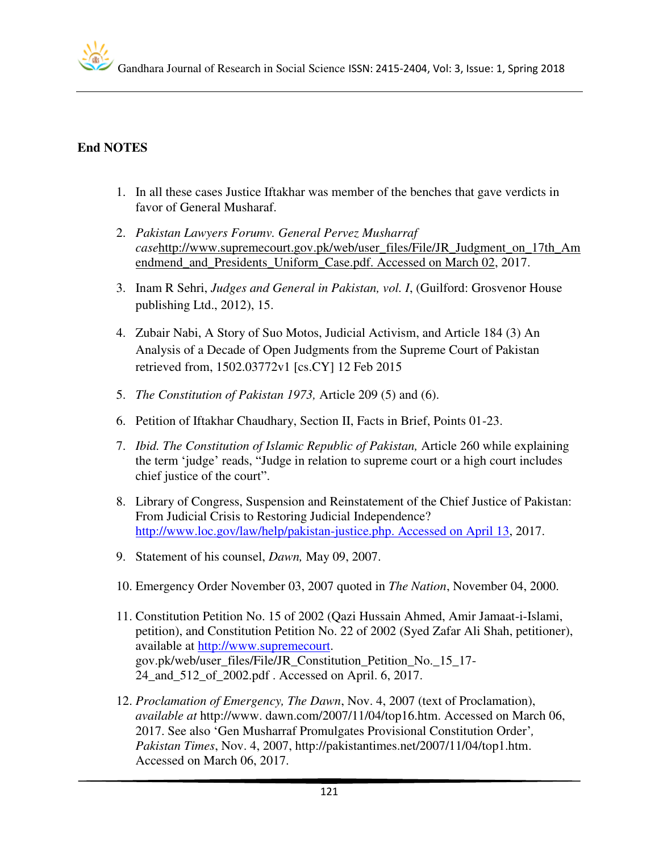#### **End NOTES**

- 1. In all these cases Justice Iftakhar was member of the benches that gave verdicts in favor of General Musharaf.
- 2. *Pakistan Lawyers Forumv. General Pervez Musharraf case*[http://www.supremecourt.gov.pk/web/user\\_files/File/JR\\_Judgment\\_on\\_17th\\_Am](http://www.supremecourt.gov.pk/web/user_files/File/JR_Judgment_on_17th_Amendmend_and_Presidents_Uniform_Case.pdf.%20Accessed%20on%20June%2002) [endmend\\_and\\_Presidents\\_Uniform\\_Case.pdf. Accessed on March 02,](http://www.supremecourt.gov.pk/web/user_files/File/JR_Judgment_on_17th_Amendmend_and_Presidents_Uniform_Case.pdf.%20Accessed%20on%20June%2002) 2017.
- 3. Inam R Sehri, *Judges and General in Pakistan, vol. I*, (Guilford: Grosvenor House publishing Ltd., 2012), 15.
- 4. Zubair Nabi, A Story of Suo Motos, Judicial Activism, and Article 184 (3) An Analysis of a Decade of Open Judgments from the Supreme Court of Pakistan retrieved from, 1502.03772v1 [cs.CY] 12 Feb 2015
- 5. *The Constitution of Pakistan 1973,* Article 209 (5) and (6).
- 6. Petition of Iftakhar Chaudhary, Section II, Facts in Brief, Points 01-23.
- 7. *Ibid. The Constitution of Islamic Republic of Pakistan,* Article 260 while explaining the term 'judge' reads, "Judge in relation to supreme court or a high court includes chief justice of the court".
- 8. Library of Congress, Suspension and Reinstatement of the Chief Justice of Pakistan: From Judicial Crisis to Restoring Judicial Independence? [http://www.loc.gov/law/help/pakistan-justice.php. Accessed on April 13,](http://www.loc.gov/law/help/pakistan-justice.php.%20Accessed%20on%20May%2013) 2017.
- 9. Statement of his counsel, *Dawn,* May 09, 2007.
- 10. Emergency Order November 03, 2007 quoted in *The Nation*, November 04, 2000.
- 11. Constitution Petition No. 15 of 2002 (Qazi Hussain Ahmed, Amir Jamaat-i-Islami, petition), and Constitution Petition No. 22 of 2002 (Syed Zafar Ali Shah, petitioner), available at [http://www.supremecourt.](http://www.supremecourt/) gov.pk/web/user\_files/File/JR\_Constitution\_Petition\_No.\_15\_17- 24\_and\_512\_of\_2002.pdf . Accessed on April. 6, 2017.
- 12. *Proclamation of Emergency, The Dawn*, Nov. 4, 2007 (text of Proclamation), *available at* [http://www.](http://www/) dawn.com/2007/11/04/top16.htm. Accessed on March 06, 2017. See also 'Gen Musharraf Promulgates Provisional Constitution Order'*, Pakistan Times*, Nov. 4, 2007, [http://pakistantimes.net/2007/11/04/top1.htm.](http://pakistantimes.net/2007/11/04/top1.htm) Accessed on March 06, 2017.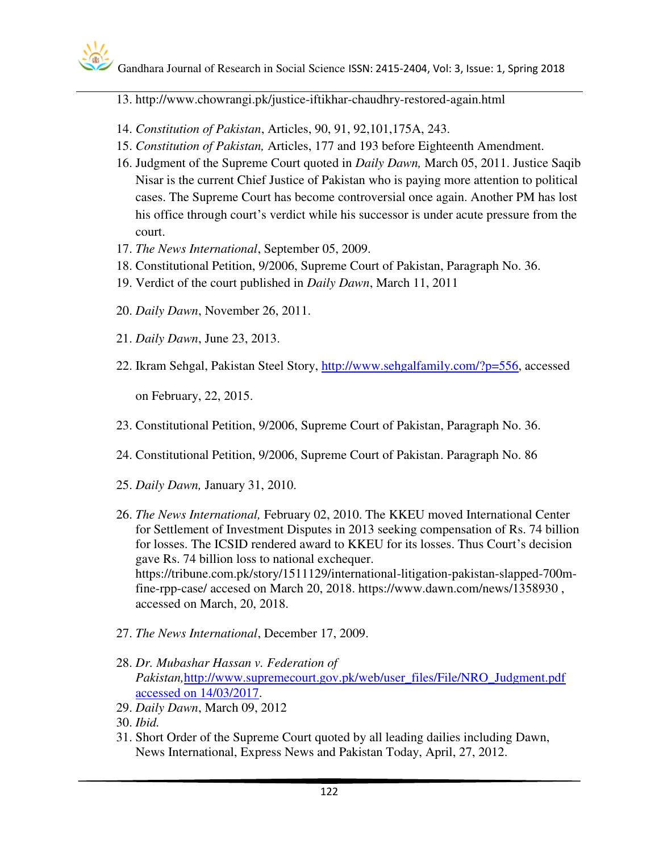#### 13. http://www.chowrangi.pk/justice-iftikhar-chaudhry-restored-again.html

- 14. *Constitution of Pakistan*, Articles, 90, 91, 92,101,175A, 243.
- 15. *Constitution of Pakistan,* Articles, 177 and 193 before Eighteenth Amendment.
- 16. Judgment of the Supreme Court quoted in *Daily Dawn,* March 05, 2011. Justice Saqib Nisar is the current Chief Justice of Pakistan who is paying more attention to political cases. The Supreme Court has become controversial once again. Another PM has lost his office through court's verdict while his successor is under acute pressure from the court.
- 17. *The News International*, September 05, 2009.
- 18. Constitutional Petition, 9/2006, Supreme Court of Pakistan, Paragraph No. 36.
- 19. Verdict of the court published in *Daily Dawn*, March 11, 2011
- 20. *Daily Dawn*, November 26, 2011.
- 21. *Daily Dawn*, June 23, 2013.
- 22. Ikram Sehgal, Pakistan Steel Story, [http://www.sehgalfamily.com/?p=556,](http://www.sehgalfamily.com/?p=556) accessed

on February, 22, 2015.

- 23. Constitutional Petition, 9/2006, Supreme Court of Pakistan, Paragraph No. 36.
- 24. Constitutional Petition, 9/2006, Supreme Court of Pakistan. Paragraph No. 86
- 25. *Daily Dawn,* January 31, 2010.
- 26. *The News International,* February 02, 2010. The KKEU moved International Center for Settlement of Investment Disputes in 2013 seeking compensation of Rs. 74 billion for losses. The ICSID rendered award to KKEU for its losses. Thus Court's decision gave Rs. 74 billion loss to national exchequer. https://tribune.com.pk/story/1511129/international-litigation-pakistan-slapped-700mfine-rpp-case/ accesed on March 20, 2018. https://www.dawn.com/news/1358930 , accessed on March, 20, 2018.
- 27. *The News International*, December 17, 2009.
- 28. *Dr. Mubashar Hassan v. Federation of Pakistan,*[http://www.supremecourt.gov.pk/web/user\\_files/File/NRO\\_Judgment.pdf](http://www.supremecourt.gov.pk/web/user_files/File/NRO_Judgment.pdf%20accessed%20on%2014/03/2017)  [accessed on 14/03/2017.](http://www.supremecourt.gov.pk/web/user_files/File/NRO_Judgment.pdf%20accessed%20on%2014/03/2017)
- 29. *Daily Dawn*, March 09, 2012

31. Short Order of the Supreme Court quoted by all leading dailies including Dawn, News International, Express News and Pakistan Today, April, 27, 2012.

<sup>30.</sup> *Ibid.*